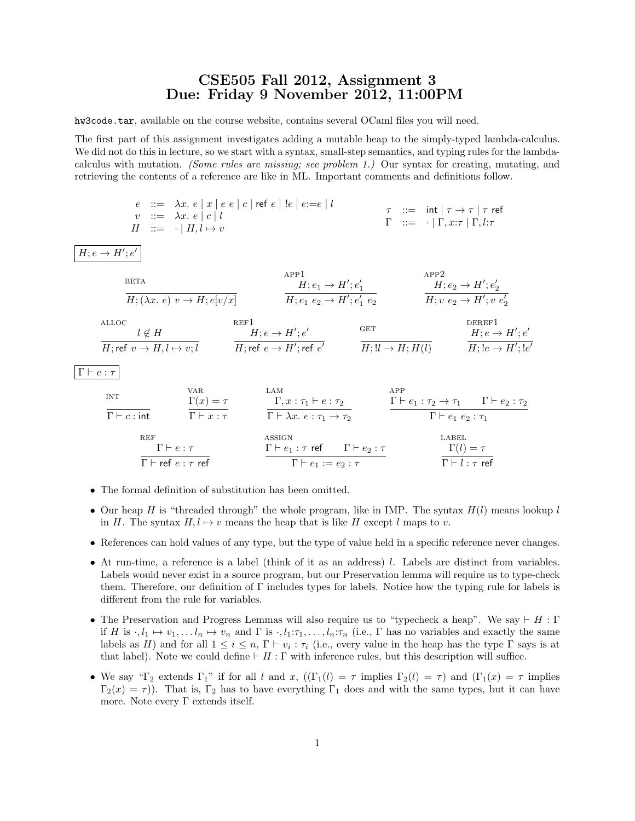## CSE505 Fall 2012, Assignment 3 Due: Friday 9 November 2012, 11:00PM

hw3code.tar, available on the course website, contains several OCaml files you will need.

The first part of this assignment investigates adding a mutable heap to the simply-typed lambda-calculus. We did not do this in lecture, so we start with a syntax, small-step semantics, and typing rules for the lambdacalculus with mutation. (Some rules are missing; see problem 1.) Our syntax for creating, mutating, and retrieving the contents of a reference are like in ML. Important comments and definitions follow.

$$
e ::= \lambda x. e |x| e e |c| \text{ ref } e |!e| e:=e |l
$$
  
\n
$$
v ::= \lambda x. e |c| l
$$
  
\n
$$
H ::= \cdot | H, l \mapsto v
$$
  
\n
$$
T ::= \text{int} | \tau \rightarrow \tau | \tau \text{ ref}
$$
  
\n
$$
\Gamma ::= \cdot | \Gamma, x:\tau | \Gamma, l:\tau
$$

 $H; e \rightarrow H'; e'$ 

$$
\frac{\text{BETA}}{H; (\lambda x. e) v \to H; e[v/x]} \qquad \qquad \frac{\text{APP1}}{H; e_1 \to H'; e'_1} \qquad \qquad \frac{\text{APP2}}{H; e_2 \to H'; e'_2} \qquad \qquad \frac{\text{APP2}}{H; v e_2 \to H'; v e'_2}
$$

| ALLOC                                  | $l \notin H$                    | $H$ ; $e \to H'$ ; $e'$ | $GF$                    | $DEREF1$ |
|----------------------------------------|---------------------------------|-------------------------|-------------------------|----------|
| $H$ ; $ref v \to H, l \mapsto v$ ; $l$ | $H$ ; $ref e \to H'$ ; $ref e'$ | $GF$                    | $BF$                    |          |
| $H$ ; $e \to H'$ ; $e'$                | $H$ ; $ll \to H$ ; $l(l)$       | $BF$                    | $H$ ; $e \to H'$ ; $e'$ |          |

 $\Gamma \vdash e : \tau$ 

| INT                                             | VAR                                                     | LAN                                            |                                 |
|-------------------------------------------------|---------------------------------------------------------|------------------------------------------------|---------------------------------|
| $\Gamma(x) = \tau$                              | $\Gamma(x, x; \tau_1 \vdash e; \tau_2$                  | $\Gamma \vdash e_1; \tau_2 \rightarrow \tau_1$ | $\Gamma \vdash e_2; \tau_2$     |
| $\Gamma \vdash c; \text{int}$                   | $\Gamma \vdash \lambda x, e; \tau_1 \rightarrow \tau_2$ | $\Gamma \vdash e_1; \tau_2 \rightarrow \tau_1$ | $\Gamma \vdash e_2; \tau_1$     |
| $\Gamma \vdash e; \tau$                         | $\Gamma \vdash e_1; \tau \text{ ref}$                   | $\Gamma \vdash e_2; \tau$                      | $\Gamma \vdash e_1 e_2; \tau_1$ |
| $\Gamma \vdash \text{ref } e; \tau \text{ ref}$ | $\Gamma \vdash e_1; \tau \text{ ref}$                   | $\Gamma \vdash e_2; \tau$                      | $\Gamma(l) = \tau$              |

- The formal definition of substitution has been omitted.
- Our heap H is "threaded through" the whole program, like in IMP. The syntax  $H(l)$  means lookup l in H. The syntax  $H, l \mapsto v$  means the heap that is like H except l maps to v.
- References can hold values of any type, but the type of value held in a specific reference never changes.
- At run-time, a reference is a label (think of it as an address) l. Labels are distinct from variables. Labels would never exist in a source program, but our Preservation lemma will require us to type-check them. Therefore, our definition of Γ includes types for labels. Notice how the typing rule for labels is different from the rule for variables.
- The Preservation and Progress Lemmas will also require us to "typecheck a heap". We say  $\vdash H : \Gamma$ if H is  $\cdot, l_1 \mapsto v_1, \ldots l_n \mapsto v_n$  and  $\Gamma$  is  $\cdot, l_1: \tau_1, \ldots, l_n: \tau_n$  (i.e.,  $\Gamma$  has no variables and exactly the same labels as H) and for all  $1 \leq i \leq n$ ,  $\Gamma \vdash v_i : \tau_i$  (i.e., every value in the heap has the type  $\Gamma$  says is at that label). Note we could define  $\vdash H : \Gamma$  with inference rules, but this description will suffice.
- We say "Γ<sub>2</sub> extends Γ<sub>1</sub>" if for all l and x,  $((\Gamma_1(l) = \tau \text{ implies } \Gamma_2(l) = \tau)$  and  $(\Gamma_1(x) = \tau \text{ implies }$  $\Gamma_2(x) = \tau$ ). That is,  $\Gamma_2$  has to have everything  $\Gamma_1$  does and with the same types, but it can have more. Note every  $\Gamma$  extends itself.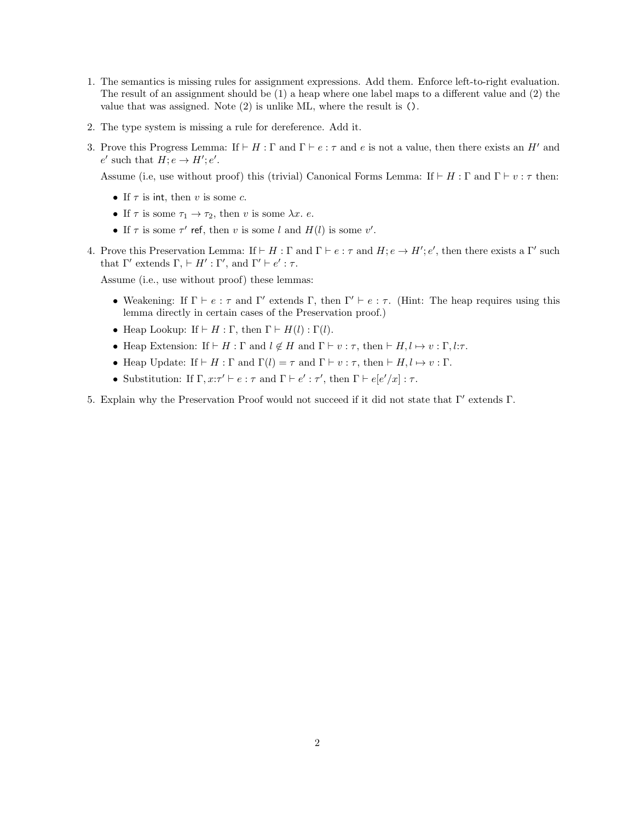- 1. The semantics is missing rules for assignment expressions. Add them. Enforce left-to-right evaluation. The result of an assignment should be (1) a heap where one label maps to a different value and (2) the value that was assigned. Note (2) is unlike ML, where the result is ().
- 2. The type system is missing a rule for dereference. Add it.
- 3. Prove this Progress Lemma: If  $\vdash H : \Gamma$  and  $\Gamma \vdash e : \tau$  and e is not a value, then there exists an H' and  $e'$  such that  $H; e \rightarrow H'; e'.$

Assume (i.e, use without proof) this (trivial) Canonical Forms Lemma: If  $\vdash H : \Gamma$  and  $\Gamma \vdash v : \tau$  then:

- If  $\tau$  is int, then v is some c.
- If  $\tau$  is some  $\tau_1 \to \tau_2$ , then v is some  $\lambda x$ . e.
- If  $\tau$  is some  $\tau'$  ref, then v is some l and  $H(l)$  is some v'.
- 4. Prove this Preservation Lemma: If  $\vdash H : \Gamma$  and  $\Gamma \vdash e : \tau$  and  $H : e \to H' : e'$ , then there exists a  $\Gamma'$  such that  $\Gamma'$  extends  $\Gamma$ ,  $\vdash H' : \Gamma'$ , and  $\Gamma' \vdash e' : \tau$ .

Assume (i.e., use without proof) these lemmas:

- Weakening: If  $\Gamma \vdash e : \tau$  and  $\Gamma'$  extends  $\Gamma$ , then  $\Gamma' \vdash e : \tau$ . (Hint: The heap requires using this lemma directly in certain cases of the Preservation proof.)
- Heap Lookup: If  $\vdash H : \Gamma$ , then  $\Gamma \vdash H(l) : \Gamma(l)$ .
- Heap Extension: If  $\vdash H : \Gamma$  and  $l \notin H$  and  $\Gamma \vdash v : \tau$ , then  $\vdash H, l \mapsto v : \Gamma, l : \tau$ .
- Heap Update: If  $\vdash H : \Gamma$  and  $\Gamma(l) = \tau$  and  $\Gamma \vdash v : \tau$ , then  $\vdash H, l \mapsto v : \Gamma$ .
- Substitution: If  $\Gamma, x:\tau' \vdash e : \tau$  and  $\Gamma \vdash e' : \tau'$ , then  $\Gamma \vdash e[e'/x] : \tau$ .

5. Explain why the Preservation Proof would not succeed if it did not state that  $\Gamma'$  extends  $\Gamma$ .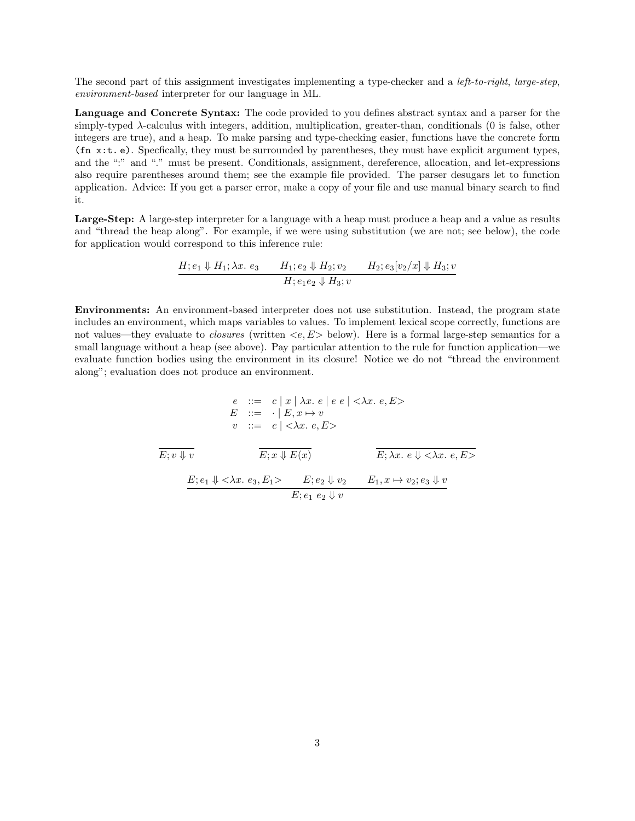The second part of this assignment investigates implementing a type-checker and a *left-to-right, large-step*, environment-based interpreter for our language in ML.

Language and Concrete Syntax: The code provided to you defines abstract syntax and a parser for the simply-typed λ-calculus with integers, addition, multiplication, greater-than, conditionals (0 is false, other integers are true), and a heap. To make parsing and type-checking easier, functions have the concrete form (fn x:t. e). Specfically, they must be surrounded by parentheses, they must have explicit argument types, and the ":" and "." must be present. Conditionals, assignment, dereference, allocation, and let-expressions also require parentheses around them; see the example file provided. The parser desugars let to function application. Advice: If you get a parser error, make a copy of your file and use manual binary search to find it.

Large-Step: A large-step interpreter for a language with a heap must produce a heap and a value as results and "thread the heap along". For example, if we were using substitution (we are not; see below), the code for application would correspond to this inference rule:

$$
\frac{H; e_1 \Downarrow H_1; \lambda x. e_3 \qquad H_1; e_2 \Downarrow H_2; v_2 \qquad H_2; e_3[v_2/x] \Downarrow H_3; v}{H; e_1 e_2 \Downarrow H_3; v}
$$

Environments: An environment-based interpreter does not use substitution. Instead, the program state includes an environment, which maps variables to values. To implement lexical scope correctly, functions are not values—they evaluate to *closures* (written  $\langle e, E \rangle$  below). Here is a formal large-step semantics for a small language without a heap (see above). Pay particular attention to the rule for function application—we evaluate function bodies using the environment in its closure! Notice we do not "thread the environment along"; evaluation does not produce an environment.

$$
e ::= c | x | \lambda x. e | e e | \langle \lambda x. e, E \rangle
$$
  
\n
$$
E ::= \cdot | E, x \mapsto v
$$
  
\n
$$
v ::= c | \langle \lambda x. e, E \rangle
$$
  
\n
$$
\overline{E; v \Downarrow v}
$$
  
\n
$$
\overline{E; x \Downarrow E(x)}
$$
  
\n
$$
\overline{E; \lambda x. e \Downarrow \langle \lambda x. e, E \rangle}
$$
  
\n
$$
\overline{E; e_1 \Downarrow \langle \lambda x. e_3, E_1 \rangle}
$$
  
\n
$$
\overline{E; e_2 \Downarrow v_2}
$$
  
\n
$$
\overline{E; e_1 e_2 \Downarrow v}
$$
  
\n
$$
E; e_1 e_2 \Downarrow v
$$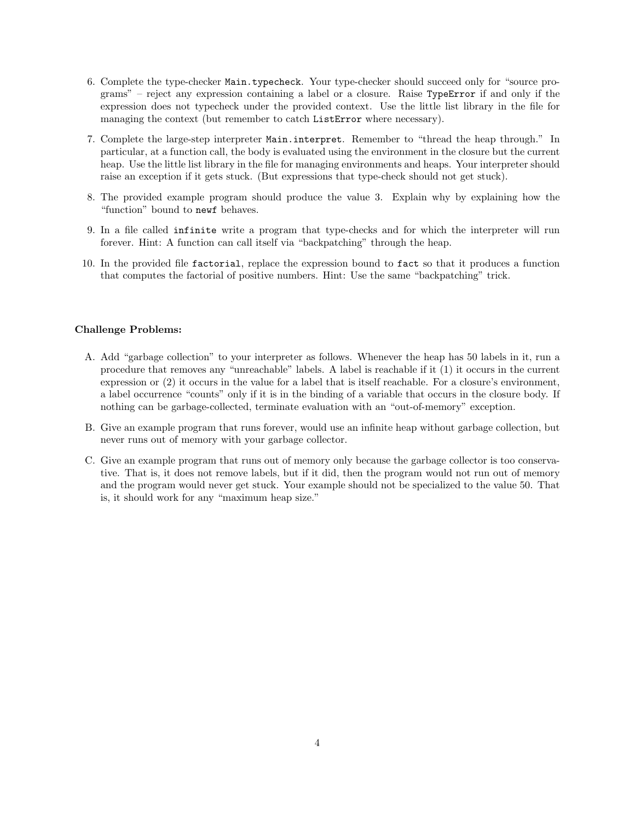- 6. Complete the type-checker Main.typecheck. Your type-checker should succeed only for "source programs" – reject any expression containing a label or a closure. Raise TypeError if and only if the expression does not typecheck under the provided context. Use the little list library in the file for managing the context (but remember to catch ListError where necessary).
- 7. Complete the large-step interpreter Main.interpret. Remember to "thread the heap through." In particular, at a function call, the body is evaluated using the environment in the closure but the current heap. Use the little list library in the file for managing environments and heaps. Your interpreter should raise an exception if it gets stuck. (But expressions that type-check should not get stuck).
- 8. The provided example program should produce the value 3. Explain why by explaining how the "function" bound to newf behaves.
- 9. In a file called infinite write a program that type-checks and for which the interpreter will run forever. Hint: A function can call itself via "backpatching" through the heap.
- 10. In the provided file factorial, replace the expression bound to fact so that it produces a function that computes the factorial of positive numbers. Hint: Use the same "backpatching" trick.

## Challenge Problems:

- A. Add "garbage collection" to your interpreter as follows. Whenever the heap has 50 labels in it, run a procedure that removes any "unreachable" labels. A label is reachable if it (1) it occurs in the current expression or (2) it occurs in the value for a label that is itself reachable. For a closure's environment, a label occurrence "counts" only if it is in the binding of a variable that occurs in the closure body. If nothing can be garbage-collected, terminate evaluation with an "out-of-memory" exception.
- B. Give an example program that runs forever, would use an infinite heap without garbage collection, but never runs out of memory with your garbage collector.
- C. Give an example program that runs out of memory only because the garbage collector is too conservative. That is, it does not remove labels, but if it did, then the program would not run out of memory and the program would never get stuck. Your example should not be specialized to the value 50. That is, it should work for any "maximum heap size."